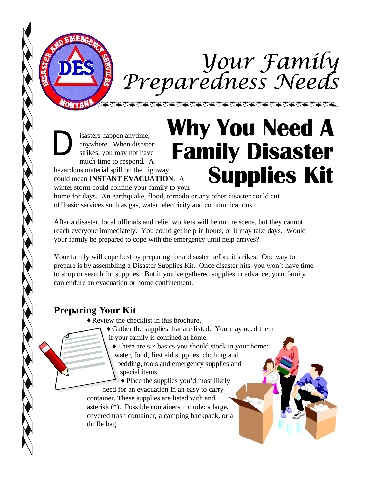# *Your Family*<br>Preparedness Needs

**D** isasters happen anytime, anywhere. When disaster strikes, you may not have much time to respond. A hazardous material spill on the highway could mean **INSTANT EVACUATION**. A winter storm could confine your family to your

# **Why You Need A Family Disaster Supplies Kit**

<u> FRANKANNANNAN</u>

home for days. An earthquake, flood, tornado or any other disaster could cut off basic services such as gas, water, electricity and communications.

After a disaster, local officials and relief workers will be on the scene, but they cannot reach everyone immediately. You could get help in hours, or it may take days. Would your family be prepared to cope with the emergency until help arrives?

Your family will cope best by preparing for a disaster before it strikes. One way to prepare is by assembling a Disaster Supplies Kit. Once disaster hits, you won't have time to shop or search for supplies. But if you've gathered supplies in advance, your family can endure an evacuation or home confinement.

#### **Preparing Your Kit**

♦ Review the checklist in this brochure.

♦ Gather the supplies that are listed. You may need them if your family is confined at home.

♦ There are six basics you should stock in your home: water, food, first aid supplies, clothing and bedding, tools and emergency supplies and special items.

♦ Place the supplies you'd most likely need for an evacuation in an easy to carry container. These supplies are listed with and asterisk (\*). Possible containers include: a large, covered trash container, a camping backpack, or a duffle bag.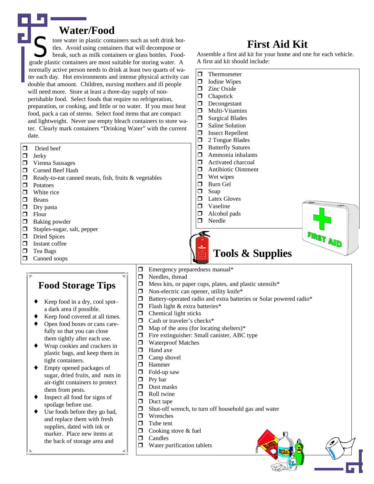#### **Water/Food**

**S**function to the set of the plastic containers such as soft drink both these. Avoid using containers that will decompose or break, such as milk containers or glass bottles. Food grade plastic containers are most suitabl tore water in plastic containers such as soft drink bottles. Avoid using containers that will decompose or break, such as milk containers or glass bottles. Foodnormally active person needs to drink at least two quarts of water each day. Hot environments and intense physical activity can double that amount. Children, nursing mothers and ill people will need more. Store at least a three-day supply of nonperishable food. Select foods that require no refrigeration, preparation, or cooking, and little or no water. If you must heat food, pack a can of sterno. Select food items that are compact and lightweight. Never use empty bleach containers to store water. Clearly mark containers "Drinking Water" with the current date.

#### $\Box$  Dried beef  $\Box$  Jerky  $\Box$  Vienna Sausages **D** Corned Beef Hash  $\Box$  Ready-to-eat canned meats, fish, fruits & vegetables  $\Box$  Potatoes  $\Box$  White rice  $\Box$  Beans  $\Box$  Dry pasta  $\Box$  Flour  $\Box$  Baking powder  $\Box$  Staples-sugar, salt, pepper  $\Box$  Dried Spices  $\Box$  Instant coffee  $\Box$  Tea Bags  $\Box$  Canned soups

#### **Food Storage Tips**

- Keep food in a dry, cool spota dark area if possible.
- Keep food covered at all times.
- Open food boxes or cans carefully so that you can close them tightly after each use.
- Wrap cookies and crackers in plastic bags, and keep them in tight containers.
- Empty opened packages of sugar, dried fruits, and nuts in air-tight containers to protect them from pests.
- Inspect all food for signs of spoilage before use.
- Use foods before they go bad, and replace them with fresh supplies, dated with ink or marker. Place new items at the back of storage area and
- $\Box$  Emergency preparedness manual\*
- $\Box$  Needles, thread
- $\Box$  Mess kits, or paper cups, plates, and plastic utensils\*
- $\Box$  Non-electric can opener, utility knife\*
- □ Battery-operated radio and extra batteries or Solar powered radio\*<br>□ Flash light & extra batteries\*
- Flash light & extra batteries\*
- $\Box$  Chemical light sticks
- $\Box$  Cash or traveler's checks\*
- $\Box$  Map of the area (for locating shelters)\*<br> $\Box$  Fire extinguisher: Small canister, ABC
- Fire extinguisher: Small canister, ABC type
- $\Box$  Waterproof Matches
- $\Box$  Hand axe
- $\Box$  Camp shovel
- $\Box$  Hammer
- $\Box$  Fold-up saw
- $\Box$  Pry bar  $\Box$
- Dust masks
- $\Box$  Roll twine
- $\Box$  Duct tape
- $\Box$  Shut-off wrench, to turn off household gas and water
- $\Box$  Wrenches
- $\Box$  Tube tent
- $\Box$  Cooking stove & fuel
- $\Box$  Candles
- $\Box$  Water purification tablets

# **First Aid Kit**

Assemble a first aid kit for your home and one for each vehicle. A first aid kit should include:



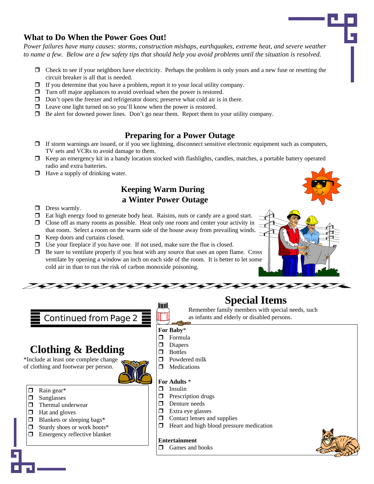#### **What to Do When the Power Goes Out!**

*Power failures have many causes: storms, construction mishaps, earthquakes, extreme heat, and severe weather to name a few. Below are a few safety tips that should help you avoid problems until the situation is resolved.*

- $\Box$  Check to see if your neighbors have electricity. Perhaps the problem is only yours and a new fuse or resetting the circuit breaker is all that is needed.
- $\Box$  If you determine that you have a problem, report it to your local utility company.
- $\Box$  Turn off major appliances to avoid overload when the power is restored.
- $\Box$  Don't open the freezer and refrigerator doors; preserve what cold air is in there.
- $\Box$  Leave one light turned on so you'll know when the power is restored.
- $\Box$  Be alert for downed power lines. Don't go near them. Report them to your utility company.

#### **Preparing for a Power Outage**

- $\Box$  If storm warnings are issued, or if you see lightning, disconnect sensitive electronic equipment such as computers, TV sets and VCRs to avoid damage to them.
- $\Box$  Keep an emergency kit in a handy location stocked with flashlights, candles, matches, a portable battery operated radio and extra batteries.
- $\Box$  Have a supply of drinking water.

#### **Keeping Warm During a Winter Power Outage**

- $\Box$  Dress warmly.
- $\Box$  Eat high energy food to generate body heat. Raisins, nuts or candy are a good start.
- $\Box$  Close off as many rooms as possible. Heat only one room and center your activity in that room. Select a room on the warm side of the house away from prevailing winds.
- $\Box$  Keep doors and curtains closed.
- $\Box$  Use your fireplace if you have one. If not used, make sure the flue is closed.
- $\Box$  Be sure to ventilate properly if you heat with any source that uses an open flame. Cross ventilate by opening a window an inch on each side of the room. It is better to let some cold air in than to run the risk of carbon monoxide poisoning.



Continued from Page 2

#### **Clothing & Bedding**

\*Include at least one complete change of clothing and footwear per person.



- $\Box$  Rain gear\*
- $\Box$  Sunglasses
- $\Box$  Thermal underwear
- $\Box$  Hat and gloves
- $\Box$  Blankets or sleeping bags\*
- $\Box$  Sturdy shoes or work boots\*
- $\Box$  Emergency reflective blanket

**Special Items**

Remember family members with special needs, such as infants and elderly or disabled persons.

#### **For Baby**\*

- $\Box$  Formula
- $\Box$  Diapers  $\Box$  Bottles
- $\Box$  Powdered milk
- $\Box$  Medications
- 

#### **For Adults** \*  $\Box$  Insulin

- -
- $\Box$  Denture needs
	- $\Box$  Extra eye glasses

 $\Box$  Prescription drugs

- $\Box$  Contact lenses and supplies
- $\Box$  Heart and high blood pressure medication

#### **Entertainment**

 $\Box$  Games and books